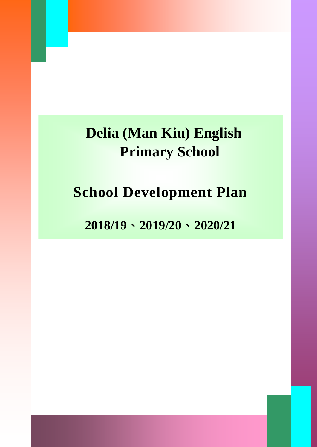## $S_{\rm eff}$  c h o local dependence of  $\sim$ **Delia (Man Kiu) English Primary School**

# **School Development Plan**

**2018/19**、**2019/20**、**2020/21**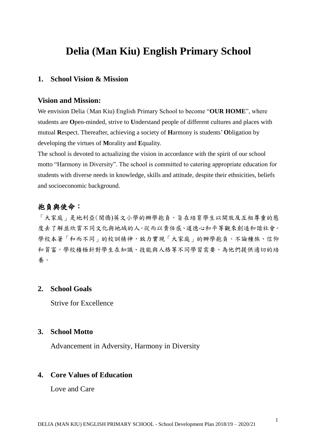### **Delia (Man Kiu) English Primary School**

### **1. School Vision & Mission**

#### **Vision and Mission:**

We envision Delia (Man Kiu) English Primary School to become "**OUR HOME**", where students are **O**pen-minded, strive to **U**nderstand people of different cultures and places with mutual **R**espect. Thereafter, achieving a society of **H**armony is students' **O**bligation by developing the virtues of **M**orality and **E**quality.

The school is devoted to actualizing the vision in accordance with the spirit of our school motto "Harmony in Diversity". The school is committed to catering appropriate education for students with diverse needs in knowledge, skills and attitude, despite their ethnicities, beliefs and socioeconomic background.

### 抱負與使命:

「大家庭」是地利亞(閩僑)英文小學的辦學抱負,旨在培育學生以開放及互相尊重的態 度去了解並欣賞不同文化與地域的人。從而以責任感、道德心和平等觀來創造和諧社會。 學校本著「和而不同」的校訓精神,致力實現「大家庭」的辦學抱負。不論種族、信仰 和貧富,學校積極針對學生在知識、技能與人格等不同學習需要、為他們提供適切的培 養。

### **2. School Goals**

Strive for Excellence

#### **3. School Motto**

Advancement in Adversity, Harmony in Diversity

### **4. Core Values of Education**

Love and Care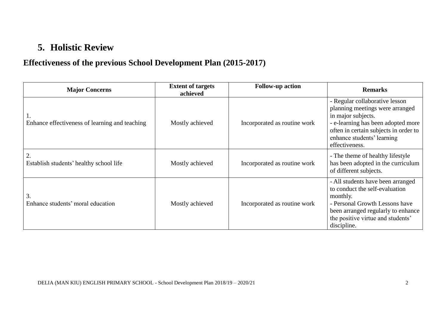### **5. Holistic Review**

### **Effectiveness of the previous School Development Plan (2015-2017)**

| <b>Major Concerns</b>                          | <b>Extent of targets</b><br>achieved | <b>Follow-up action</b>      | <b>Remarks</b>                                                                                                                                                                                                         |
|------------------------------------------------|--------------------------------------|------------------------------|------------------------------------------------------------------------------------------------------------------------------------------------------------------------------------------------------------------------|
| Enhance effectiveness of learning and teaching | Mostly achieved                      | Incorporated as routine work | - Regular collaborative lesson<br>planning meetings were arranged<br>in major subjects.<br>- e-learning has been adopted more<br>often in certain subjects in order to<br>enhance students' learning<br>effectiveness. |
| Establish students' healthy school life        | Mostly achieved                      | Incorporated as routine work | - The theme of healthy lifestyle<br>has been adopted in the curriculum<br>of different subjects.                                                                                                                       |
| 3.<br>Enhance students' moral education        | Mostly achieved                      | Incorporated as routine work | - All students have been arranged<br>to conduct the self-evaluation<br>monthly.<br>- Personal Growth Lessons have<br>been arranged regularly to enhance<br>the positive virtue and students'<br>discipline.            |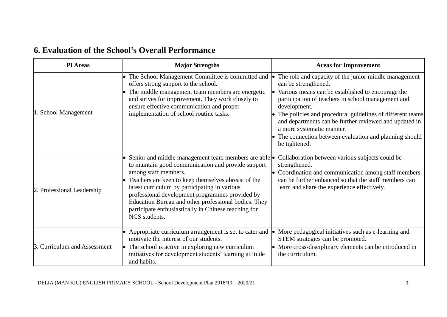| <b>PI</b> Areas              | <b>Major Strengths</b>                                                                                                                                                                                                                                                                                                                                                                                                         | <b>Areas for Improvement</b>                                                                                                                                                                                                                                                                                                                                                                                                               |
|------------------------------|--------------------------------------------------------------------------------------------------------------------------------------------------------------------------------------------------------------------------------------------------------------------------------------------------------------------------------------------------------------------------------------------------------------------------------|--------------------------------------------------------------------------------------------------------------------------------------------------------------------------------------------------------------------------------------------------------------------------------------------------------------------------------------------------------------------------------------------------------------------------------------------|
| 1. School Management         | The School Management Committee is committed and<br>offers strong support to the school.<br>The middle management team members are energetic<br>and strives for improvement. They work closely to<br>ensure effective communication and proper<br>implementation of school routine tasks.                                                                                                                                      | The role and capacity of the junior middle management<br>can be strengthened.<br>• Various means can be established to encourage the<br>participation of teachers in school management and<br>development.<br>The policies and procedural guidelines of different teams<br>and departments can be further reviewed and updated in<br>a more systematic manner.<br>• The connection between evaluation and planning should<br>be tightened. |
| 2. Professional Leadership   | Senior and middle management team members are able .<br>to maintain good communication and provide support<br>among staff members.<br>Teachers are keen to keep themselves abreast of the<br>latest curriculum by participating in various<br>professional development programmes provided by<br>Education Bureau and other professional bodies. They<br>participate enthusiastically in Chinese teaching for<br>NCS students. | Collaboration between various subjects could be<br>strengthened.<br>• Coordination and communication among staff members<br>can be further enhanced so that the staff members can<br>learn and share the experience effectively.                                                                                                                                                                                                           |
| 3. Curriculum and Assessment | Appropriate curriculum arrangement is set to cater and<br>motivate the interest of our students.<br>The school is active in exploring new curriculum<br>initiatives for development students' learning attitude<br>and habits.                                                                                                                                                                                                 | More pedagogical initiatives such as e-learning and<br>STEM strategies can be promoted.<br>• More cross-disciplinary elements can be introduced in<br>the curriculum.                                                                                                                                                                                                                                                                      |

### **6. Evaluation of the School's Overall Performance**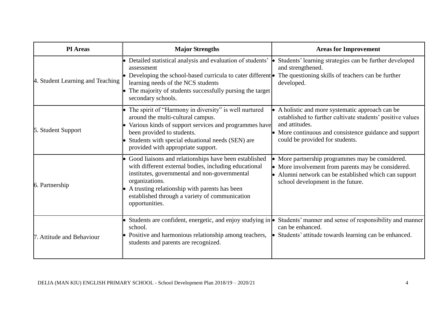| <b>PI</b> Areas                  | <b>Major Strengths</b>                                                                                                                                                                                                                                                                                 | <b>Areas for Improvement</b>                                                                                                                                                                                                |
|----------------------------------|--------------------------------------------------------------------------------------------------------------------------------------------------------------------------------------------------------------------------------------------------------------------------------------------------------|-----------------------------------------------------------------------------------------------------------------------------------------------------------------------------------------------------------------------------|
| 4. Student Learning and Teaching | Detailed statistical analysis and evaluation of students'<br>assessment<br>Developing the school-based curricula to cater different<br>learning needs of the NCS students<br>The majority of students successfully pursing the target<br>secondary schools.                                            | Students' learning strategies can be further developed<br>and strengthened.<br>The questioning skills of teachers can be further<br>developed.                                                                              |
| 5. Student Support               | The spirit of "Harmony in diversity" is well nurtured<br>around the multi-cultural campus.<br>Various kinds of support services and programmes have<br>been provided to students.<br>Students with special eduational needs (SEN) are<br>provided with appropriate support.                            | • A holistic and more systematic approach can be<br>established to further cultivate students' positive values<br>and attitudes.<br>More continuous and consistence guidance and support<br>could be provided for students. |
| 6. Partnership                   | Good liaisons and relationships have been established<br>with different external bodies, including educational<br>institutes, governmental and non-governmental<br>organizations.<br>A trusting relationship with parents has been<br>established through a variety of communication<br>opportunities. | • More partnership programmes may be considered.<br>• More involvement from parents may be considered.<br>Alumni network can be established which can support<br>school development in the future.                          |
| 7. Attitude and Behaviour        | Students are confident, energetic, and enjoy studying in $\bullet$<br>school.<br>Positive and harmonious relationship among teachers,<br>students and parents are recognized.                                                                                                                          | Students' manner and sense of responsibility and manner<br>can be enhanced.<br>Students' attitude towards learning can be enhanced.                                                                                         |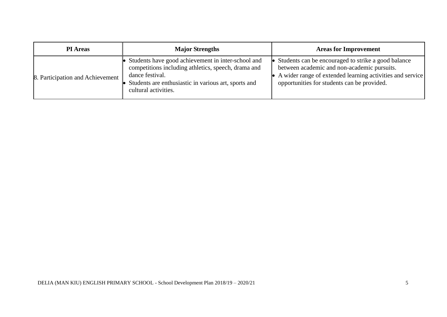| <b>PI</b> Areas                  | <b>Major Strengths</b>                                                                                                                                                                                       | <b>Areas for Improvement</b>                                                                                                                                                                                     |
|----------------------------------|--------------------------------------------------------------------------------------------------------------------------------------------------------------------------------------------------------------|------------------------------------------------------------------------------------------------------------------------------------------------------------------------------------------------------------------|
| 8. Participation and Achievement | Students have good achievement in inter-school and<br>competitions including athletics, speech, drama and<br>dance festival.<br>Students are enthusiastic in various art, sports and<br>cultural activities. | Students can be encouraged to strike a good balance<br>between academic and non-academic pursuits.<br>• A wider range of extended learning activities and service<br>opportunities for students can be provided. |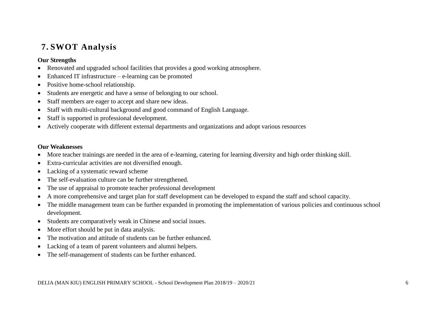### **7. SWOT Analysis**

### **Our Strengths**

- Renovated and upgraded school facilities that provides a good working atmosphere.
- Enhanced IT infrastructure e-learning can be promoted
- Positive home-school relationship.
- Students are energetic and have a sense of belonging to our school.
- Staff members are eager to accept and share new ideas.
- Staff with multi-cultural background and good command of English Language.
- Staff is supported in professional development.
- Actively cooperate with different external departments and organizations and adopt various resources

### **Our Weaknesses**

- More teacher trainings are needed in the area of e-learning, catering for learning diversity and high order thinking skill.
- Extra-curricular activities are not diversified enough.
- Lacking of a systematic reward scheme
- The self-evaluation culture can be further strengthened.
- The use of appraisal to promote teacher professional development
- A more comprehensive and target plan for staff development can be developed to expand the staff and school capacity.
- The middle management team can be further expanded in promoting the implementation of various policies and continuous school development.
- Students are comparatively weak in Chinese and social issues.
- More effort should be put in data analysis.
- The motivation and attitude of students can be further enhanced.
- Lacking of a team of parent volunteers and alumni helpers.
- The self-management of students can be further enhanced.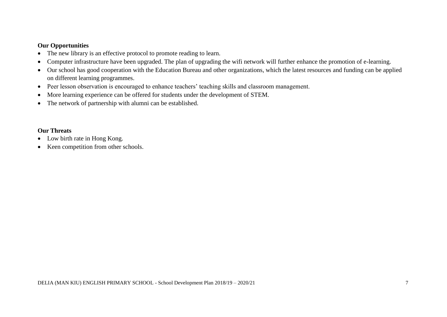#### **Our Opportunities**

- The new library is an effective protocol to promote reading to learn.
- Computer infrastructure have been upgraded. The plan of upgrading the wifi network will further enhance the promotion of e-learning.
- Our school has good cooperation with the Education Bureau and other organizations, which the latest resources and funding can be applied on different learning programmes.
- Peer lesson observation is encouraged to enhance teachers' teaching skills and classroom management.
- More learning experience can be offered for students under the development of STEM.
- The network of partnership with alumni can be established.

### **Our Threats**

- Low birth rate in Hong Kong.
- Keen competition from other schools.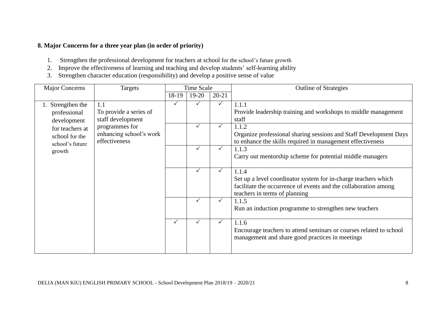### **8. Major Concerns for a three year plan (in order of priority)**

- 1. Strengthen the professional development for teachers at school for the school's future growth
- 2. Improve the effectiveness of learning and teaching and develop students' self-learning ability
- 3. Strengthen character education (responsibility) and develop a positive sense of value

| <b>Major Concerns</b> | <b>Targets</b>          |              | <b>Time Scale</b> |              | <b>Outline of Strategies</b>                                       |
|-----------------------|-------------------------|--------------|-------------------|--------------|--------------------------------------------------------------------|
|                       |                         | 18-19        | 19-20             | $20 - 21$    |                                                                    |
| 1. Strengthen the     | 1.1                     | $\checkmark$ | ✓                 |              | 1.1.1                                                              |
| professional          | To provide a series of  |              |                   |              | Provide leadership training and workshops to middle management     |
| development           | staff development       |              |                   |              | staff                                                              |
| for teachers at       | programmes for          |              | ✓                 | $\checkmark$ | 1.1.2                                                              |
| school for the        | enhancing school's work |              |                   |              | Organize professional sharing sessions and Staff Development Days  |
| school's future       | effectiveness           |              |                   |              | to enhance the skills required in management effectiveness         |
| growth                |                         |              | ✓                 |              | 1.1.3                                                              |
|                       |                         |              |                   |              | Carry out mentorship scheme for potential middle managers          |
|                       |                         |              |                   |              |                                                                    |
|                       |                         |              | ✓                 | ✓            | 1.1.4                                                              |
|                       |                         |              |                   |              | Set up a level coordinator system for in-charge teachers which     |
|                       |                         |              |                   |              | facilitate the occurrence of events and the collaboration among    |
|                       |                         |              |                   |              | teachers in terms of planning                                      |
|                       |                         |              | ✓                 | ✓            | 1.1.5                                                              |
|                       |                         |              |                   |              | Run an induction programme to strengthen new teachers              |
|                       |                         | $\checkmark$ | ✓                 | $\checkmark$ | 1.1.6                                                              |
|                       |                         |              |                   |              | Encourage teachers to attend seminars or courses related to school |
|                       |                         |              |                   |              | management and share good practices in meetings                    |
|                       |                         |              |                   |              |                                                                    |
|                       |                         |              |                   |              |                                                                    |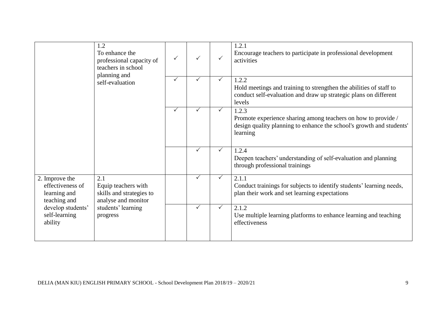|                                                                                                                                                                                                                                        | 1.2<br>To enhance the<br>professional capacity of<br>teachers in school<br>planning and<br>self-evaluation | $\checkmark$ | $\checkmark$ | $\checkmark$                                                                                                                   | 1.2.1<br>Encourage teachers to participate in professional development<br>activities                                                                       |
|----------------------------------------------------------------------------------------------------------------------------------------------------------------------------------------------------------------------------------------|------------------------------------------------------------------------------------------------------------|--------------|--------------|--------------------------------------------------------------------------------------------------------------------------------|------------------------------------------------------------------------------------------------------------------------------------------------------------|
|                                                                                                                                                                                                                                        |                                                                                                            | $\checkmark$ | ✓            | $\checkmark$                                                                                                                   | 1.2.2<br>Hold meetings and training to strengthen the abilities of staff to<br>conduct self-evaluation and draw up strategic plans on different<br>levels  |
|                                                                                                                                                                                                                                        |                                                                                                            | ✓            | ✓            |                                                                                                                                | 1.2.3<br>Promote experience sharing among teachers on how to provide /<br>design quality planning to enhance the school's growth and students'<br>learning |
|                                                                                                                                                                                                                                        |                                                                                                            |              | ✓            | $\checkmark$                                                                                                                   | 1.2.4<br>Deepen teachers' understanding of self-evaluation and planning<br>through professional trainings                                                  |
| 2. Improve the<br>2.1<br>effectiveness of<br>Equip teachers with<br>skills and strategies to<br>learning and<br>analyse and monitor<br>teaching and<br>students' learning<br>develop students'<br>self-learning<br>progress<br>ability |                                                                                                            | ✓            |              | 2.1.1<br>Conduct trainings for subjects to identify students' learning needs,<br>plan their work and set learning expectations |                                                                                                                                                            |
|                                                                                                                                                                                                                                        |                                                                                                            | ✓            |              | 2.1.2<br>Use multiple learning platforms to enhance learning and teaching<br>effectiveness                                     |                                                                                                                                                            |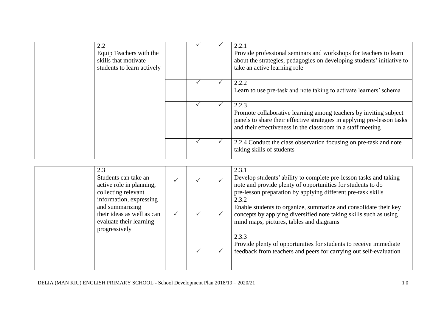| 2.2<br>Equip Teachers with the<br>skills that motivate<br>students to learn actively |  | 2.2.1<br>Provide professional seminars and workshops for teachers to learn<br>about the strategies, pedagogies on developing students' initiative to<br>take an active learning role                                 |
|--------------------------------------------------------------------------------------|--|----------------------------------------------------------------------------------------------------------------------------------------------------------------------------------------------------------------------|
|                                                                                      |  | 2.2.2<br>Learn to use pre-task and note taking to activate learners' schema                                                                                                                                          |
|                                                                                      |  | 2.2.3<br>Promote collaborative learning among teachers by inviting subject<br>panels to share their effective strategies in applying pre-lesson tasks<br>and their effectiveness in the classroom in a staff meeting |
|                                                                                      |  | 2.2.4 Conduct the class observation focusing on pre-task and note<br>taking skills of students                                                                                                                       |

| 2.3<br>Students can take an<br>active role in planning,<br>collecting relevant                                       |  |              | 2.3.1<br>Develop students' ability to complete pre-lesson tasks and taking<br>note and provide plenty of opportunities for students to do<br>pre-lesson preparation by applying different pre-task skills |
|----------------------------------------------------------------------------------------------------------------------|--|--------------|-----------------------------------------------------------------------------------------------------------------------------------------------------------------------------------------------------------|
| information, expressing<br>and summarizing<br>their ideas as well as can<br>evaluate their learning<br>progressively |  | ✓            | 2.3.2<br>Enable students to organize, summarize and consolidate their key<br>concepts by applying diversified note taking skills such as using<br>mind maps, pictures, tables and diagrams                |
|                                                                                                                      |  | $\checkmark$ | 2.3.3<br>Provide plenty of opportunities for students to receive immediate<br>feedback from teachers and peers for carrying out self-evaluation                                                           |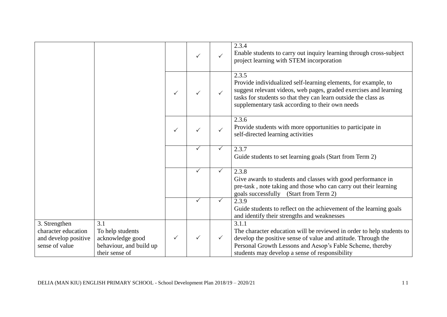|                                                                                |                                                                                          | ✓            | $\checkmark$ | 2.3.4<br>Enable students to carry out inquiry learning through cross-subject<br>project learning with STEM incorporation                                                                                                                                          |                                                                                                                                                                                                                                                                |
|--------------------------------------------------------------------------------|------------------------------------------------------------------------------------------|--------------|--------------|-------------------------------------------------------------------------------------------------------------------------------------------------------------------------------------------------------------------------------------------------------------------|----------------------------------------------------------------------------------------------------------------------------------------------------------------------------------------------------------------------------------------------------------------|
|                                                                                |                                                                                          |              | $\checkmark$ | 2.3.5<br>Provide individualized self-learning elements, for example, to<br>suggest relevant videos, web pages, graded exercises and learning<br>tasks for students so that they can learn outside the class as<br>supplementary task according to their own needs |                                                                                                                                                                                                                                                                |
|                                                                                |                                                                                          | $\checkmark$ | ✓            | $\checkmark$                                                                                                                                                                                                                                                      | 2.3.6<br>Provide students with more opportunities to participate in<br>self-directed learning activities                                                                                                                                                       |
|                                                                                |                                                                                          |              |              |                                                                                                                                                                                                                                                                   | 2.3.7<br>Guide students to set learning goals (Start from Term 2)                                                                                                                                                                                              |
|                                                                                |                                                                                          |              | $\checkmark$ | $\checkmark$                                                                                                                                                                                                                                                      | 2.3.8<br>Give awards to students and classes with good performance in<br>pre-task, note taking and those who can carry out their learning<br>goals successfully (Start from Term 2)                                                                            |
|                                                                                |                                                                                          |              |              |                                                                                                                                                                                                                                                                   | 2.3.9<br>Guide students to reflect on the achievement of the learning goals<br>and identify their strengths and weaknesses                                                                                                                                     |
| 3. Strengthen<br>character education<br>and develop positive<br>sense of value | 3.1<br>To help students<br>acknowledge good<br>behaviour, and build up<br>their sense of | ✓            | ✓            | $\checkmark$                                                                                                                                                                                                                                                      | 3.1.1<br>The character education will be reviewed in order to help students to<br>develop the positive sense of value and attitude. Through the<br>Personal Growth Lessons and Aesop's Fable Scheme, thereby<br>students may develop a sense of responsibility |